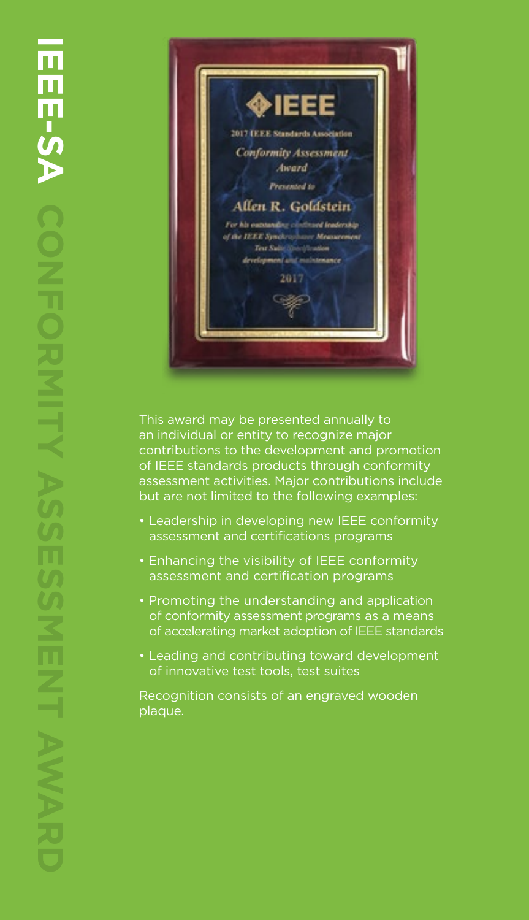

This award may be presented annually to an individual or entity to recognize major contributions to the development and promotion of IEEE standards products through conformity assessment activities. Major contributions include but are not limited to the following examples:

- Leadership in developing new IEEE conformity assessment and certifications programs
- Enhancing the visibility of IEEE conformity assessment and certification programs
- Promoting the understanding and application of conformity assessment programs as a means of accelerating market adoption of IEEE standards
- Leading and contributing toward development of innovative test tools, test suites

Recognition consists of an engraved wooden plaque.